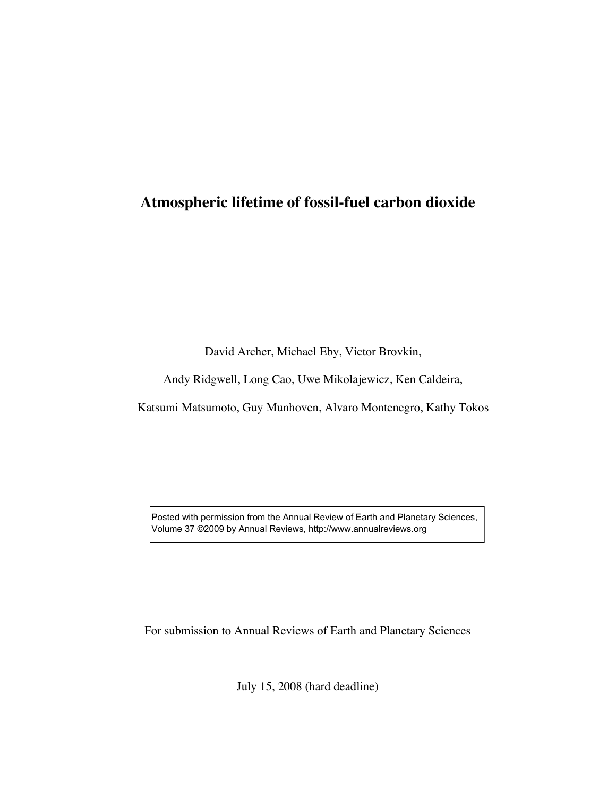# **Atmospheric lifetime of fossil-fuel carbon dioxide**

David Archer, Michael Eby, Victor Brovkin,

Andy Ridgwell, Long Cao, Uwe Mikolajewicz, Ken Caldeira,

Katsumi Matsumoto, Guy Munhoven, Alvaro Montenegro, Kathy Tokos

Posted with permission from the Annual Review of Earth and Planetary Sciences, Volume 37 ©2009 by Annual Reviews, http://www.annualreviews.org

For submission to Annual Reviews of Earth and Planetary Sciences

July 15, 2008 (hard deadline)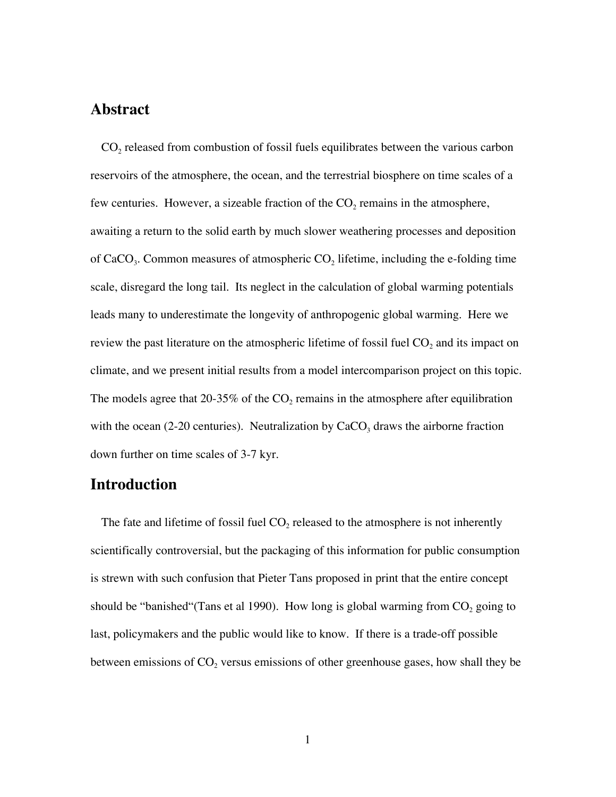## **Abstract**

 $CO<sub>2</sub>$  released from combustion of fossil fuels equilibrates between the various carbon reservoirs of the atmosphere, the ocean, and the terrestrial biosphere on time scales of a few centuries. However, a sizeable fraction of the  $CO<sub>2</sub>$  remains in the atmosphere, awaiting a return to the solid earth by much slower weathering processes and deposition of CaCO<sub>3</sub>. Common measures of atmospheric  $CO<sub>2</sub>$  lifetime, including the e-folding time scale, disregard the long tail. Its neglect in the calculation of global warming potentials leads many to underestimate the longevity of anthropogenic global warming. Here we review the past literature on the atmospheric lifetime of fossil fuel  $CO<sub>2</sub>$  and its impact on climate, and we present initial results from a model intercomparison project on this topic. The models agree that 20-35% of the  $CO<sub>2</sub>$  remains in the atmosphere after equilibration with the ocean (2-20 centuries). Neutralization by  $CaCO<sub>3</sub>$  draws the airborne fraction down further on time scales of 3-7 kyr.

### **Introduction**

The fate and lifetime of fossil fuel  $CO<sub>2</sub>$  released to the atmosphere is not inherently scientifically controversial, but the packaging of this information for public consumption is strewn with such confusion that Pieter Tans proposed in print that the entire concept should be "banished" (Tans et al 1990). How long is global warming from  $CO_2$  going to last, policymakers and the public would like to know. If there is a trade-off possible between emissions of  $CO<sub>2</sub>$  versus emissions of other greenhouse gases, how shall they be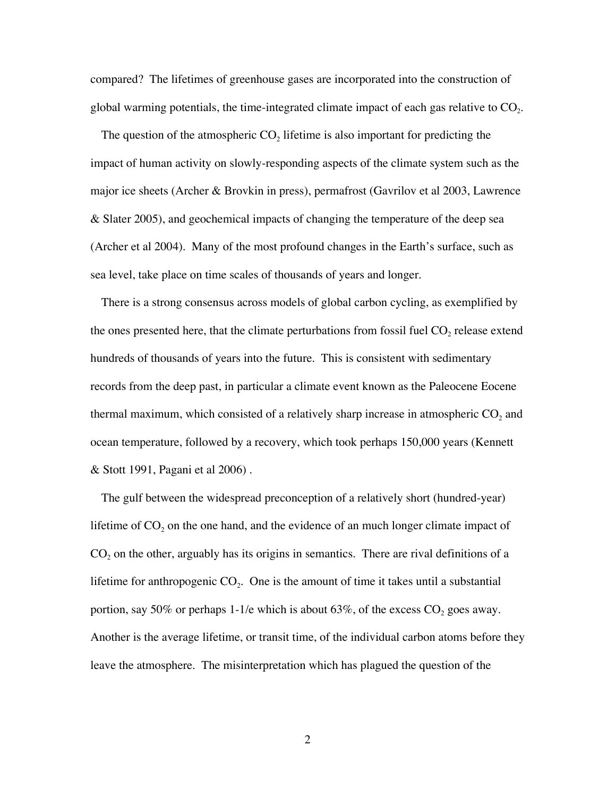compared? The lifetimes of greenhouse gases are incorporated into the construction of global warming potentials, the time-integrated climate impact of each gas relative to  $CO<sub>2</sub>$ .

The question of the atmospheric  $CO<sub>2</sub>$  lifetime is also important for predicting the impact of human activity on slowly-responding aspects of the climate system such as the major ice sheets (Archer & Brovkin in press), permafrost (Gavrilov et al 2003, Lawrence & Slater 2005), and geochemical impacts of changing the temperature of the deep sea (Archer et al 2004). Many of the most profound changes in the Earth's surface, such as sea level, take place on time scales of thousands of years and longer.

There is a strong consensus across models of global carbon cycling, as exemplified by the ones presented here, that the climate perturbations from fossil fuel  $CO<sub>2</sub>$  release extend hundreds of thousands of years into the future. This is consistent with sedimentary records from the deep past, in particular a climate event known as the Paleocene Eocene thermal maximum, which consisted of a relatively sharp increase in atmospheric  $CO<sub>2</sub>$  and ocean temperature, followed by a recovery, which took perhaps 150,000 years (Kennett & Stott 1991, Pagani et al 2006) .

The gulf between the widespread preconception of a relatively short (hundred-year) lifetime of  $CO<sub>2</sub>$  on the one hand, and the evidence of an much longer climate impact of  $CO<sub>2</sub>$  on the other, arguably has its origins in semantics. There are rival definitions of a lifetime for anthropogenic  $CO<sub>2</sub>$ . One is the amount of time it takes until a substantial portion, say 50% or perhaps 1-1/e which is about 63%, of the excess  $CO<sub>2</sub>$  goes away. Another is the average lifetime, or transit time, of the individual carbon atoms before they leave the atmosphere. The misinterpretation which has plagued the question of the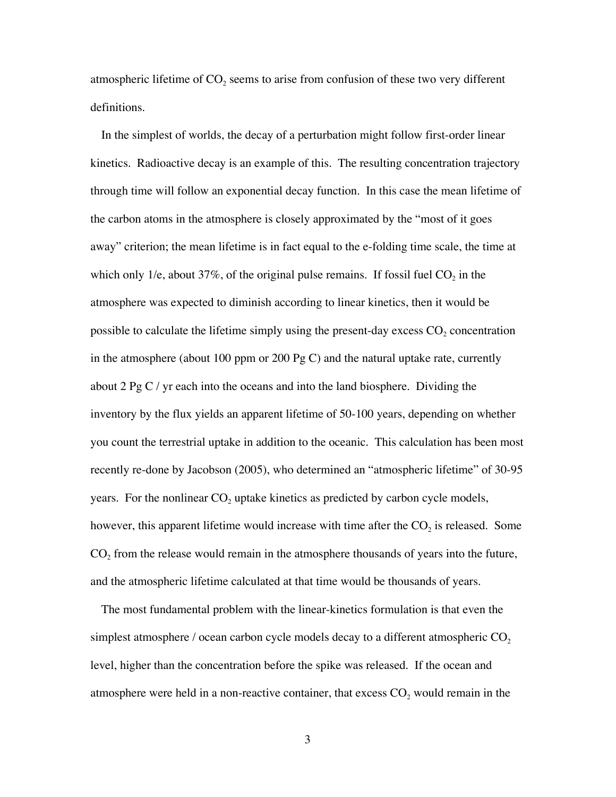atmospheric lifetime of  $CO<sub>2</sub>$  seems to arise from confusion of these two very different definitions.

In the simplest of worlds, the decay of a perturbation might follow first-order linear kinetics. Radioactive decay is an example of this. The resulting concentration trajectory through time will follow an exponential decay function. In this case the mean lifetime of the carbon atoms in the atmosphere is closely approximated by the "most of it goes away" criterion; the mean lifetime is in fact equal to the e-folding time scale, the time at which only 1/e, about 37%, of the original pulse remains. If fossil fuel  $CO<sub>2</sub>$  in the atmosphere was expected to diminish according to linear kinetics, then it would be possible to calculate the lifetime simply using the present-day excess  $CO<sub>2</sub>$  concentration in the atmosphere (about 100 ppm or 200 Pg C) and the natural uptake rate, currently about 2 Pg C / yr each into the oceans and into the land biosphere. Dividing the inventory by the flux yields an apparent lifetime of 50-100 years, depending on whether you count the terrestrial uptake in addition to the oceanic. This calculation has been most recently re-done by Jacobson (2005), who determined an "atmospheric lifetime" of 30-95 years. For the nonlinear  $CO<sub>2</sub>$  uptake kinetics as predicted by carbon cycle models, however, this apparent lifetime would increase with time after the  $CO<sub>2</sub>$  is released. Some  $CO<sub>2</sub>$  from the release would remain in the atmosphere thousands of years into the future, and the atmospheric lifetime calculated at that time would be thousands of years.

The most fundamental problem with the linear-kinetics formulation is that even the simplest atmosphere / ocean carbon cycle models decay to a different atmospheric  $CO<sub>2</sub>$ level, higher than the concentration before the spike was released. If the ocean and atmosphere were held in a non-reactive container, that excess  $CO<sub>2</sub>$  would remain in the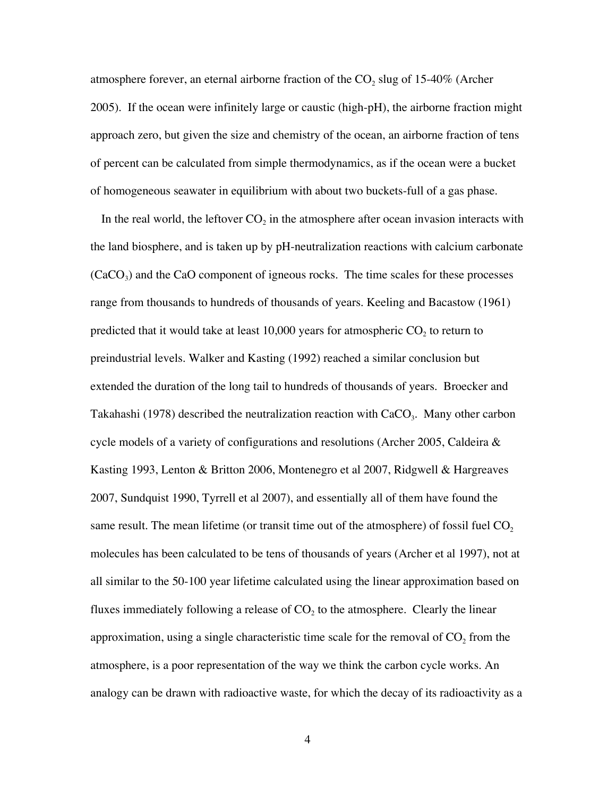atmosphere forever, an eternal airborne fraction of the  $CO<sub>2</sub>$  slug of 15-40% (Archer 2005). If the ocean were infinitely large or caustic (high-pH), the airborne fraction might approach zero, but given the size and chemistry of the ocean, an airborne fraction of tens of percent can be calculated from simple thermodynamics, as if the ocean were a bucket of homogeneous seawater in equilibrium with about two buckets-full of a gas phase.

In the real world, the leftover  $CO<sub>2</sub>$  in the atmosphere after ocean invasion interacts with the land biosphere, and is taken up by pH-neutralization reactions with calcium carbonate  $(CaCO<sub>3</sub>)$  and the CaO component of igneous rocks. The time scales for these processes range from thousands to hundreds of thousands of years. Keeling and Bacastow (1961) predicted that it would take at least 10,000 years for atmospheric  $CO<sub>2</sub>$  to return to preindustrial levels. Walker and Kasting (1992) reached a similar conclusion but extended the duration of the long tail to hundreds of thousands of years. Broecker and Takahashi (1978) described the neutralization reaction with  $CaCO<sub>3</sub>$ . Many other carbon cycle models of a variety of configurations and resolutions (Archer 2005, Caldeira & Kasting 1993, Lenton & Britton 2006, Montenegro et al 2007, Ridgwell & Hargreaves 2007, Sundquist 1990, Tyrrell et al 2007), and essentially all of them have found the same result. The mean lifetime (or transit time out of the atmosphere) of fossil fuel  $CO<sub>2</sub>$ molecules has been calculated to be tens of thousands of years (Archer et al 1997), not at all similar to the 50-100 year lifetime calculated using the linear approximation based on fluxes immediately following a release of  $CO<sub>2</sub>$  to the atmosphere. Clearly the linear approximation, using a single characteristic time scale for the removal of  $CO<sub>2</sub>$  from the atmosphere, is a poor representation of the way we think the carbon cycle works. An analogy can be drawn with radioactive waste, for which the decay of its radioactivity as a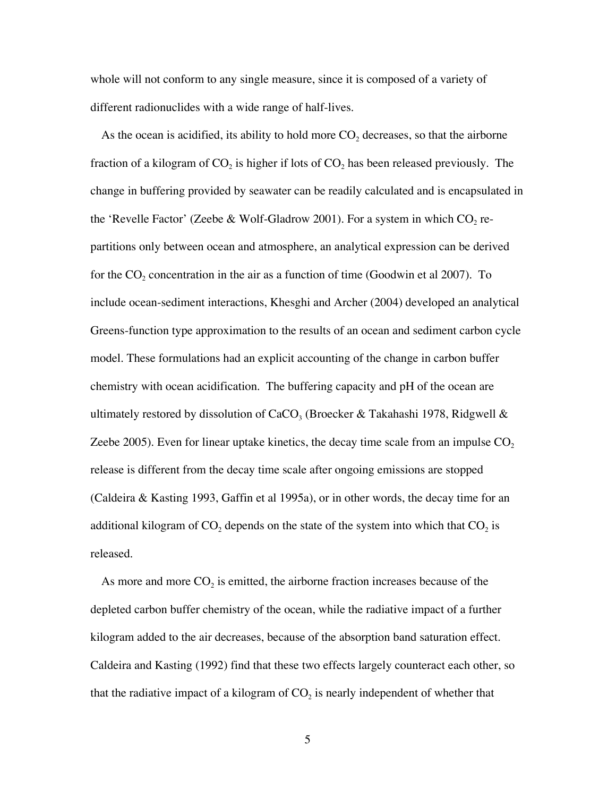whole will not conform to any single measure, since it is composed of a variety of different radionuclides with a wide range of half-lives.

As the ocean is acidified, its ability to hold more  $CO<sub>2</sub>$  decreases, so that the airborne fraction of a kilogram of  $CO_2$  is higher if lots of  $CO_2$  has been released previously. The change in buffering provided by seawater can be readily calculated and is encapsulated in the 'Revelle Factor' (Zeebe & Wolf-Gladrow 2001). For a system in which  $CO_2$  repartitions only between ocean and atmosphere, an analytical expression can be derived for the  $CO_2$  concentration in the air as a function of time (Goodwin et al 2007). To include ocean-sediment interactions, Khesghi and Archer (2004) developed an analytical Greens-function type approximation to the results of an ocean and sediment carbon cycle model. These formulations had an explicit accounting of the change in carbon buffer chemistry with ocean acidification. The buffering capacity and pH of the ocean are ultimately restored by dissolution of CaCO<sub>3</sub> (Broecker & Takahashi 1978, Ridgwell & Zeebe 2005). Even for linear uptake kinetics, the decay time scale from an impulse  $CO<sub>2</sub>$ release is different from the decay time scale after ongoing emissions are stopped (Caldeira & Kasting 1993, Gaffin et al 1995a), or in other words, the decay time for an additional kilogram of  $CO<sub>2</sub>$  depends on the state of the system into which that  $CO<sub>2</sub>$  is released.

As more and more  $CO<sub>2</sub>$  is emitted, the airborne fraction increases because of the depleted carbon buffer chemistry of the ocean, while the radiative impact of a further kilogram added to the air decreases, because of the absorption band saturation effect. Caldeira and Kasting (1992) find that these two effects largely counteract each other, so that the radiative impact of a kilogram of  $CO<sub>2</sub>$  is nearly independent of whether that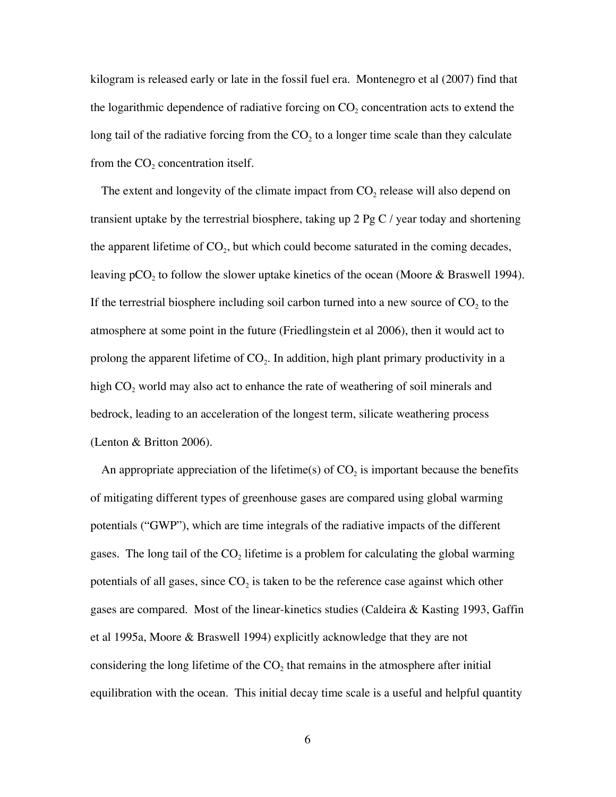kilogram is released early or late in the fossil fuel era. Montenegro et al (2007) find that the logarithmic dependence of radiative forcing on  $CO<sub>2</sub>$  concentration acts to extend the long tail of the radiative forcing from the  $CO<sub>2</sub>$  to a longer time scale than they calculate from the  $CO<sub>2</sub>$  concentration itself.

The extent and longevity of the climate impact from  $CO<sub>2</sub>$  release will also depend on transient uptake by the terrestrial biosphere, taking up 2 Pg C / year today and shortening the apparent lifetime of  $CO<sub>2</sub>$ , but which could become saturated in the coming decades, leaving pCO<sub>2</sub> to follow the slower uptake kinetics of the ocean (Moore & Braswell 1994). If the terrestrial biosphere including soil carbon turned into a new source of  $CO<sub>2</sub>$  to the atmosphere at some point in the future (Friedlingstein et al 2006), then it would act to prolong the apparent lifetime of  $CO<sub>2</sub>$ . In addition, high plant primary productivity in a high  $CO<sub>2</sub>$  world may also act to enhance the rate of weathering of soil minerals and bedrock, leading to an acceleration of the longest term, silicate weathering process (Lenton & Britton 2006).

An appropriate appreciation of the lifetime(s) of  $CO<sub>2</sub>$  is important because the benefits of mitigating different types of greenhouse gases are compared using global warming potentials ("GWP"), which are time integrals of the radiative impacts of the different gases. The long tail of the  $CO<sub>2</sub>$  lifetime is a problem for calculating the global warming potentials of all gases, since  $CO<sub>2</sub>$  is taken to be the reference case against which other gases are compared. Most of the linear-kinetics studies (Caldeira & Kasting 1993, Gaffin et al 1995a, Moore & Braswell 1994) explicitly acknowledge that they are not considering the long lifetime of the  $CO<sub>2</sub>$  that remains in the atmosphere after initial equilibration with the ocean. This initial decay time scale is a useful and helpful quantity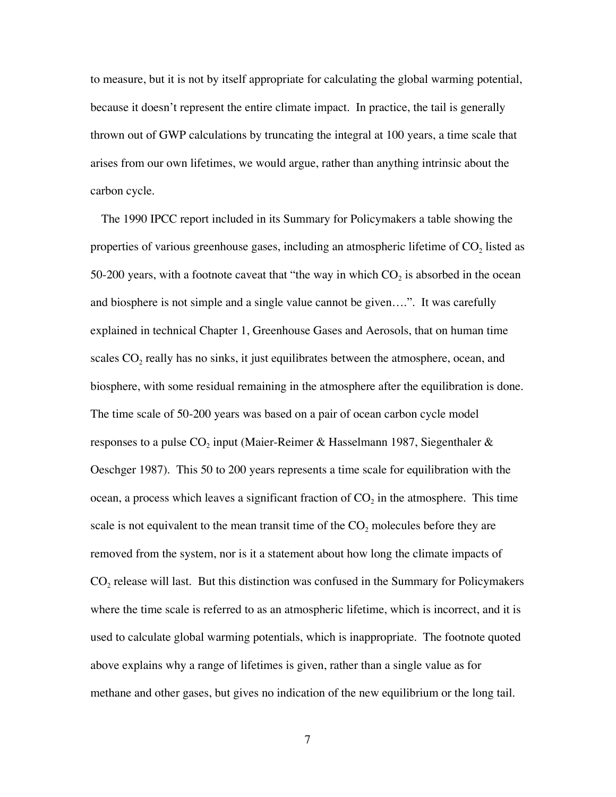to measure, but it is not by itself appropriate for calculating the global warming potential, because it doesn't represent the entire climate impact. In practice, the tail is generally thrown out of GWP calculations by truncating the integral at 100 years, a time scale that arises from our own lifetimes, we would argue, rather than anything intrinsic about the carbon cycle.

The 1990 IPCC report included in its Summary for Policymakers a table showing the properties of various greenhouse gases, including an atmospheric lifetime of  $CO<sub>2</sub>$  listed as 50-200 years, with a footnote caveat that "the way in which  $CO<sub>2</sub>$  is absorbed in the ocean and biosphere is not simple and a single value cannot be given….". It was carefully explained in technical Chapter 1, Greenhouse Gases and Aerosols, that on human time scales  $CO<sub>2</sub>$  really has no sinks, it just equilibrates between the atmosphere, ocean, and biosphere, with some residual remaining in the atmosphere after the equilibration is done. The time scale of 50-200 years was based on a pair of ocean carbon cycle model responses to a pulse  $CO<sub>2</sub>$  input (Maier-Reimer & Hasselmann 1987, Siegenthaler & Oeschger 1987). This 50 to 200 years represents a time scale for equilibration with the ocean, a process which leaves a significant fraction of  $CO<sub>2</sub>$  in the atmosphere. This time scale is not equivalent to the mean transit time of the  $CO<sub>2</sub>$  molecules before they are removed from the system, nor is it a statement about how long the climate impacts of  $CO<sub>2</sub>$  release will last. But this distinction was confused in the Summary for Policymakers where the time scale is referred to as an atmospheric lifetime, which is incorrect, and it is used to calculate global warming potentials, which is inappropriate. The footnote quoted above explains why a range of lifetimes is given, rather than a single value as for methane and other gases, but gives no indication of the new equilibrium or the long tail.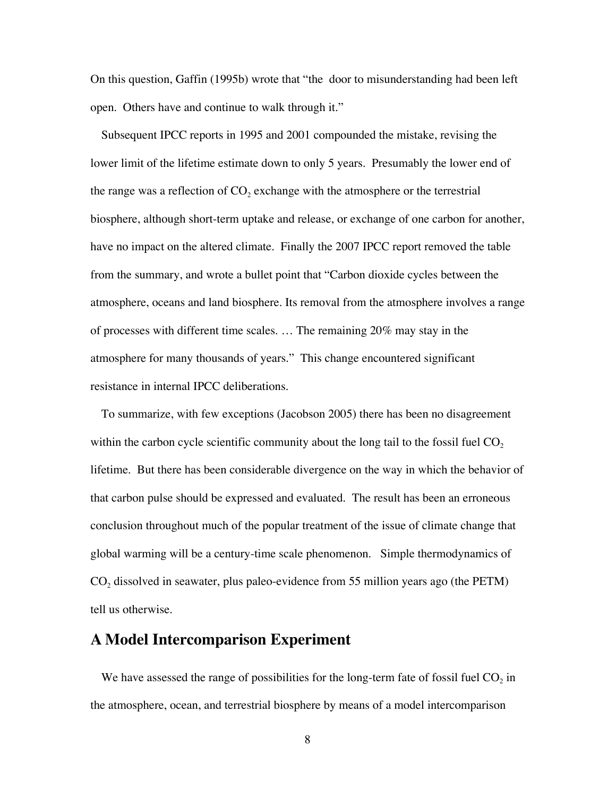On this question, Gaffin (1995b) wrote that "the door to misunderstanding had been left open. Others have and continue to walk through it."

Subsequent IPCC reports in 1995 and 2001 compounded the mistake, revising the lower limit of the lifetime estimate down to only 5 years. Presumably the lower end of the range was a reflection of  $CO<sub>2</sub>$  exchange with the atmosphere or the terrestrial biosphere, although short-term uptake and release, or exchange of one carbon for another, have no impact on the altered climate. Finally the 2007 IPCC report removed the table from the summary, and wrote a bullet point that "Carbon dioxide cycles between the atmosphere, oceans and land biosphere. Its removal from the atmosphere involves a range of processes with different time scales. … The remaining 20% may stay in the atmosphere for many thousands of years." This change encountered significant resistance in internal IPCC deliberations.

To summarize, with few exceptions (Jacobson 2005) there has been no disagreement within the carbon cycle scientific community about the long tail to the fossil fuel  $CO<sub>2</sub>$ lifetime. But there has been considerable divergence on the way in which the behavior of that carbon pulse should be expressed and evaluated. The result has been an erroneous conclusion throughout much of the popular treatment of the issue of climate change that global warming will be a century-time scale phenomenon. Simple thermodynamics of  $CO<sub>2</sub>$  dissolved in seawater, plus paleo-evidence from 55 million years ago (the PETM) tell us otherwise.

## **A Model Intercomparison Experiment**

We have assessed the range of possibilities for the long-term fate of fossil fuel  $CO<sub>2</sub>$  in the atmosphere, ocean, and terrestrial biosphere by means of a model intercomparison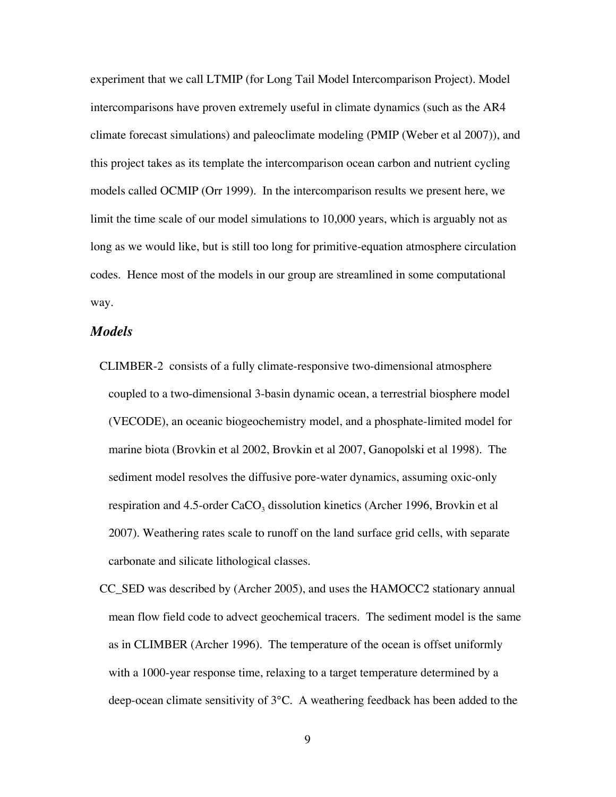experiment that we call LTMIP (for Long Tail Model Intercomparison Project). Model intercomparisons have proven extremely useful in climate dynamics (such as the AR4 climate forecast simulations) and paleoclimate modeling (PMIP (Weber et al 2007)), and this project takes as its template the intercomparison ocean carbon and nutrient cycling models called OCMIP (Orr 1999). In the intercomparison results we present here, we limit the time scale of our model simulations to 10,000 years, which is arguably not as long as we would like, but is still too long for primitive-equation atmosphere circulation codes. Hence most of the models in our group are streamlined in some computational way.

#### *Models*

- CLIMBER-2 consists of a fully climate-responsive two-dimensional atmosphere coupled to a two-dimensional 3-basin dynamic ocean, a terrestrial biosphere model (VECODE), an oceanic biogeochemistry model, and a phosphate-limited model for marine biota (Brovkin et al 2002, Brovkin et al 2007, Ganopolski et al 1998). The sediment model resolves the diffusive pore-water dynamics, assuming oxic-only respiration and  $4.5$ -order CaCO<sub>3</sub> dissolution kinetics (Archer 1996, Brovkin et al 2007). Weathering rates scale to runoff on the land surface grid cells, with separate carbonate and silicate lithological classes.
- CC\_SED was described by (Archer 2005), and uses the HAMOCC2 stationary annual mean flow field code to advect geochemical tracers. The sediment model is the same as in CLIMBER (Archer 1996). The temperature of the ocean is offset uniformly with a 1000-year response time, relaxing to a target temperature determined by a deep-ocean climate sensitivity of 3°C. A weathering feedback has been added to the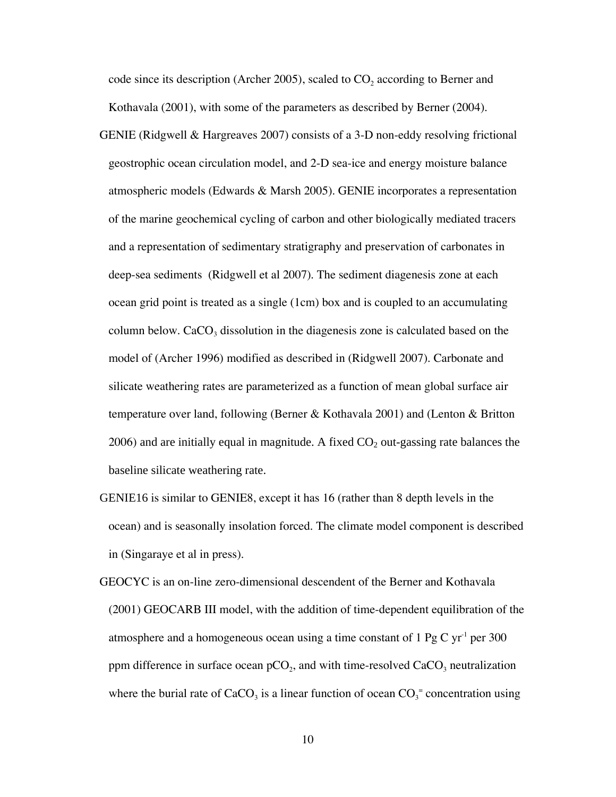code since its description (Archer 2005), scaled to  $CO<sub>2</sub>$  according to Berner and Kothavala (2001), with some of the parameters as described by Berner (2004).

- GENIE (Ridgwell & Hargreaves 2007) consists of a 3-D non-eddy resolving frictional geostrophic ocean circulation model, and 2-D sea-ice and energy moisture balance atmospheric models (Edwards & Marsh 2005). GENIE incorporates a representation of the marine geochemical cycling of carbon and other biologically mediated tracers and a representation of sedimentary stratigraphy and preservation of carbonates in deep-sea sediments (Ridgwell et al 2007). The sediment diagenesis zone at each ocean grid point is treated as a single (1cm) box and is coupled to an accumulating column below.  $CaCO<sub>3</sub>$  dissolution in the diagenesis zone is calculated based on the model of (Archer 1996) modified as described in (Ridgwell 2007). Carbonate and silicate weathering rates are parameterized as a function of mean global surface air temperature over land, following (Berner & Kothavala 2001) and (Lenton & Britton 2006) and are initially equal in magnitude. A fixed  $CO<sub>2</sub>$  out-gassing rate balances the baseline silicate weathering rate.
- GENIE16 is similar to GENIE8, except it has 16 (rather than 8 depth levels in the ocean) and is seasonally insolation forced. The climate model component is described in (Singaraye et al in press).
- GEOCYC is an on-line zero-dimensional descendent of the Berner and Kothavala (2001) GEOCARB III model, with the addition of time-dependent equilibration of the atmosphere and a homogeneous ocean using a time constant of  $1 \text{ pg C yr}$ <sup>1</sup> per 300 ppm difference in surface ocean  $pCO<sub>2</sub>$ , and with time-resolved  $CaCO<sub>3</sub>$  neutralization where the burial rate of  $CaCO<sub>3</sub>$  is a linear function of ocean  $CO<sub>3</sub><sup>=</sup>$  concentration using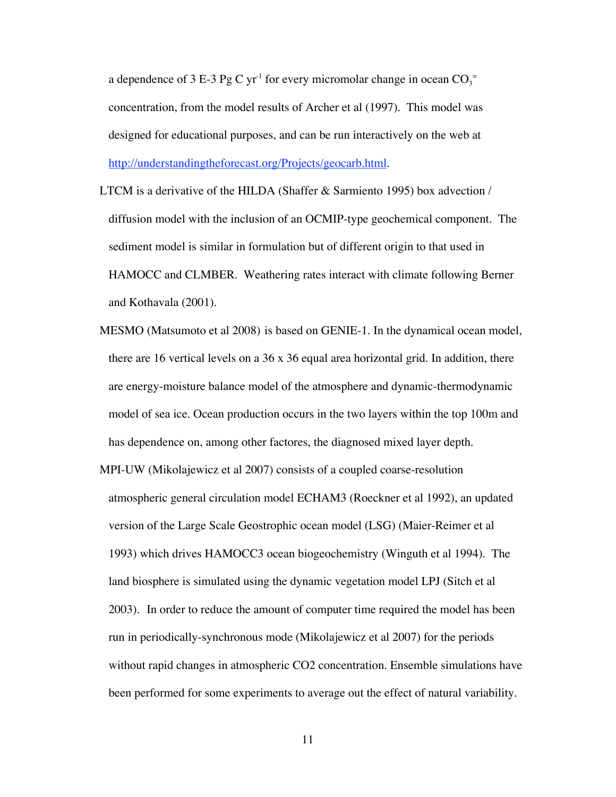a dependence of 3 E-3 Pg C yr<sup>-1</sup> for every micromolar change in ocean  $CO_3^$ concentration, from the model results of Archer et al (1997). This model was designed for educational purposes, and can be run interactively on the web at http://understandingtheforecast.org/Projects/geocarb.html.

- LTCM is a derivative of the HILDA (Shaffer & Sarmiento 1995) box advection / diffusion model with the inclusion of an OCMIP-type geochemical component. The sediment model is similar in formulation but of different origin to that used in HAMOCC and CLMBER. Weathering rates interact with climate following Berner and Kothavala (2001).
- MESMO (Matsumoto et al 2008) is based on GENIE-1. In the dynamical ocean model, there are 16 vertical levels on a 36 x 36 equal area horizontal grid. In addition, there are energy-moisture balance model of the atmosphere and dynamic-thermodynamic model of sea ice. Ocean production occurs in the two layers within the top 100m and has dependence on, among other factores, the diagnosed mixed layer depth.
- MPI-UW (Mikolajewicz et al 2007) consists of a coupled coarse-resolution atmospheric general circulation model ECHAM3 (Roeckner et al 1992), an updated version of the Large Scale Geostrophic ocean model (LSG) (Maier-Reimer et al 1993) which drives HAMOCC3 ocean biogeochemistry (Winguth et al 1994). The land biosphere is simulated using the dynamic vegetation model LPJ (Sitch et al 2003). In order to reduce the amount of computer time required the model has been run in periodically-synchronous mode (Mikolajewicz et al 2007) for the periods without rapid changes in atmospheric CO2 concentration. Ensemble simulations have been performed for some experiments to average out the effect of natural variability.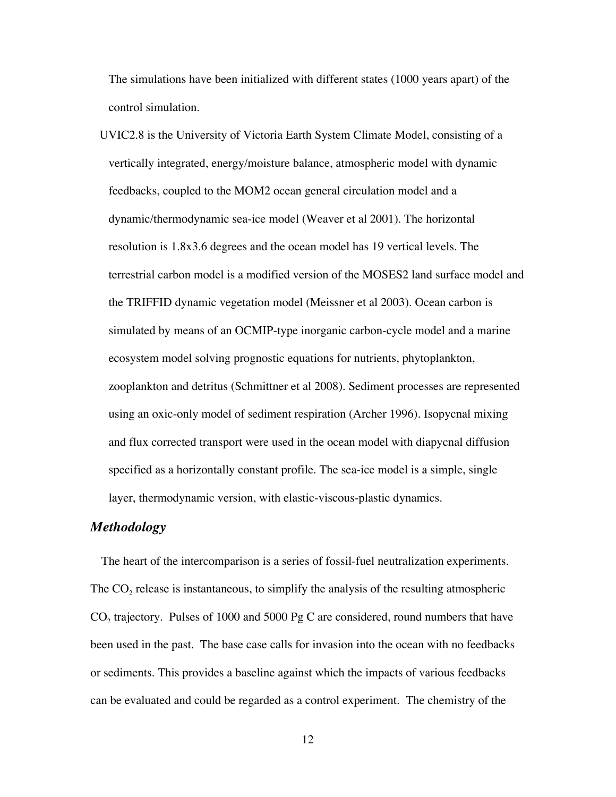The simulations have been initialized with different states (1000 years apart) of the control simulation.

UVIC2.8 is the University of Victoria Earth System Climate Model, consisting of a vertically integrated, energy/moisture balance, atmospheric model with dynamic feedbacks, coupled to the MOM2 ocean general circulation model and a dynamic/thermodynamic sea-ice model (Weaver et al 2001). The horizontal resolution is 1.8x3.6 degrees and the ocean model has 19 vertical levels. The terrestrial carbon model is a modified version of the MOSES2 land surface model and the TRIFFID dynamic vegetation model (Meissner et al 2003). Ocean carbon is simulated by means of an OCMIP-type inorganic carbon-cycle model and a marine ecosystem model solving prognostic equations for nutrients, phytoplankton, zooplankton and detritus (Schmittner et al 2008). Sediment processes are represented using an oxic-only model of sediment respiration (Archer 1996). Isopycnal mixing and flux corrected transport were used in the ocean model with diapycnal diffusion specified as a horizontally constant profile. The sea-ice model is a simple, single layer, thermodynamic version, with elastic-viscous-plastic dynamics.

#### *Methodology*

The heart of the intercomparison is a series of fossil-fuel neutralization experiments. The  $CO<sub>2</sub>$  release is instantaneous, to simplify the analysis of the resulting atmospheric  $CO<sub>2</sub>$  trajectory. Pulses of 1000 and 5000 Pg C are considered, round numbers that have been used in the past. The base case calls for invasion into the ocean with no feedbacks or sediments. This provides a baseline against which the impacts of various feedbacks can be evaluated and could be regarded as a control experiment. The chemistry of the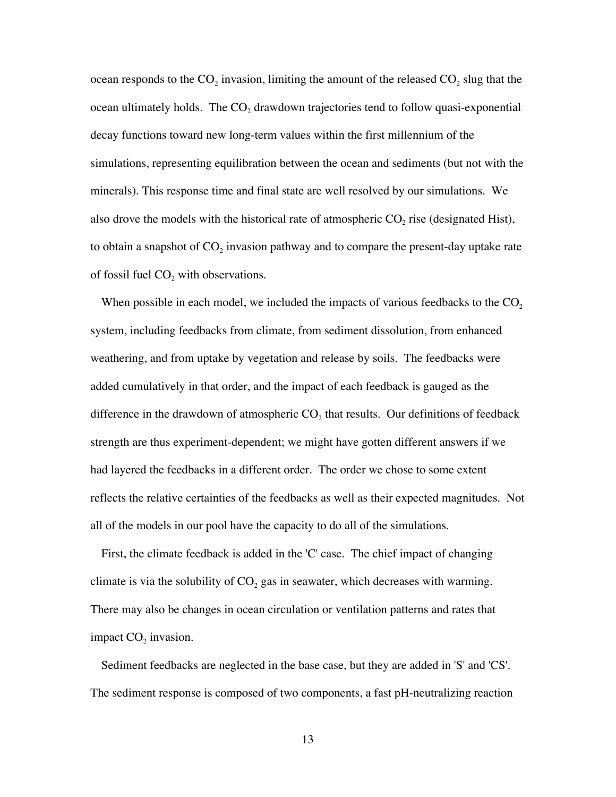ocean responds to the  $CO_2$  invasion, limiting the amount of the released  $CO_2$  slug that the ocean ultimately holds. The  $CO<sub>2</sub>$  drawdown trajectories tend to follow quasi-exponential decay functions toward new long-term values within the first millennium of the simulations, representing equilibration between the ocean and sediments (but not with the minerals). This response time and final state are well resolved by our simulations. We also drove the models with the historical rate of atmospheric  $CO<sub>2</sub>$  rise (designated Hist), to obtain a snapshot of  $CO<sub>2</sub>$  invasion pathway and to compare the present-day uptake rate of fossil fuel  $CO<sub>2</sub>$  with observations.

When possible in each model, we included the impacts of various feedbacks to the  $CO<sub>2</sub>$ system, including feedbacks from climate, from sediment dissolution, from enhanced weathering, and from uptake by vegetation and release by soils. The feedbacks were added cumulatively in that order, and the impact of each feedback is gauged as the difference in the drawdown of atmospheric  $CO<sub>2</sub>$  that results. Our definitions of feedback strength are thus experiment-dependent; we might have gotten different answers if we had layered the feedbacks in a different order. The order we chose to some extent reflects the relative certainties of the feedbacks as well as their expected magnitudes. Not all of the models in our pool have the capacity to do all of the simulations.

First, the climate feedback is added in the 'C' case. The chief impact of changing climate is via the solubility of  $CO<sub>2</sub>$  gas in seawater, which decreases with warming. There may also be changes in ocean circulation or ventilation patterns and rates that impact  $CO<sub>2</sub>$  invasion.

Sediment feedbacks are neglected in the base case, but they are added in 'S' and 'CS'. The sediment response is composed of two components, a fast pH-neutralizing reaction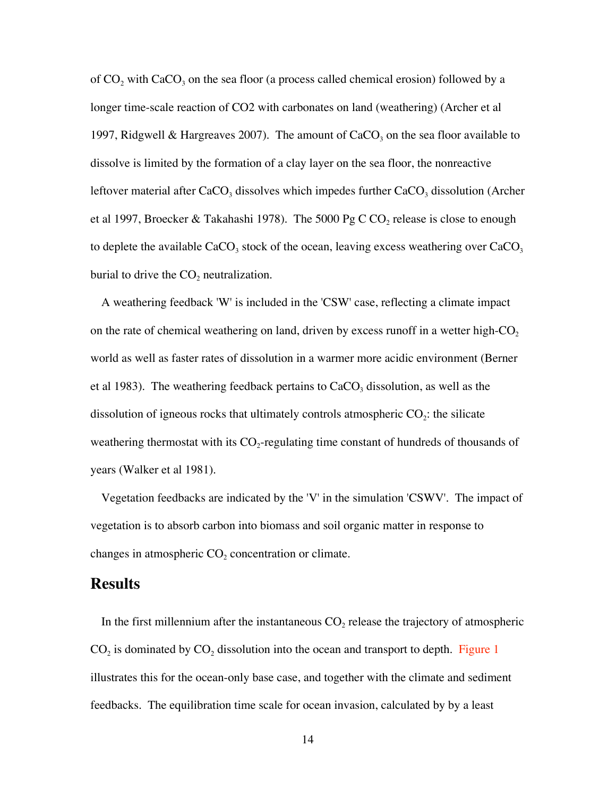of  $CO<sub>2</sub>$  with  $CaCO<sub>3</sub>$  on the sea floor (a process called chemical erosion) followed by a longer time-scale reaction of CO2 with carbonates on land (weathering) (Archer et al 1997, Ridgwell & Hargreaves 2007). The amount of  $CaCO<sub>3</sub>$  on the sea floor available to dissolve is limited by the formation of a clay layer on the sea floor, the nonreactive leftover material after  $CaCO<sub>3</sub>$  dissolves which impedes further  $CaCO<sub>3</sub>$  dissolution (Archer et al 1997, Broecker & Takahashi 1978). The 5000 Pg C CO<sub>2</sub> release is close to enough to deplete the available  $CaCO<sub>3</sub>$  stock of the ocean, leaving excess weathering over  $CaCO<sub>3</sub>$ burial to drive the  $CO<sub>2</sub>$  neutralization.

A weathering feedback 'W' is included in the 'CSW' case, reflecting a climate impact on the rate of chemical weathering on land, driven by excess runoff in a wetter high- $CO<sub>2</sub>$ world as well as faster rates of dissolution in a warmer more acidic environment (Berner et al 1983). The weathering feedback pertains to  $CaCO<sub>3</sub>$  dissolution, as well as the dissolution of igneous rocks that ultimately controls atmospheric  $CO_2$ : the silicate weathering thermostat with its  $CO_2$ -regulating time constant of hundreds of thousands of years (Walker et al 1981).

Vegetation feedbacks are indicated by the 'V' in the simulation 'CSWV'. The impact of vegetation is to absorb carbon into biomass and soil organic matter in response to changes in atmospheric  $CO<sub>2</sub>$  concentration or climate.

### **Results**

In the first millennium after the instantaneous  $CO<sub>2</sub>$  release the trajectory of atmospheric  $CO<sub>2</sub>$  is dominated by  $CO<sub>2</sub>$  dissolution into the ocean and transport to depth. Figure 1 illustrates this for the ocean-only base case, and together with the climate and sediment feedbacks. The equilibration time scale for ocean invasion, calculated by by a least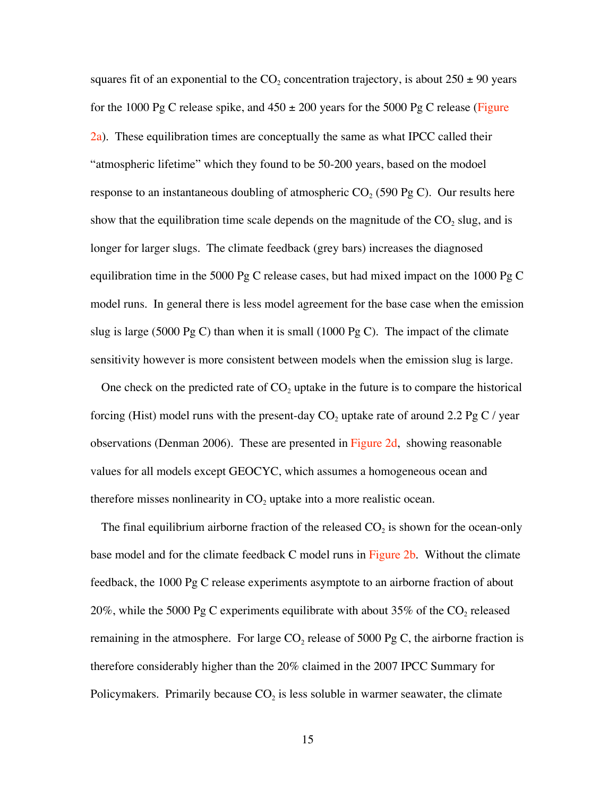squares fit of an exponential to the  $CO_2$  concentration trajectory, is about  $250 \pm 90$  years for the 1000 Pg C release spike, and  $450 \pm 200$  years for the 5000 Pg C release (Figure 2a). These equilibration times are conceptually the same as what IPCC called their "atmospheric lifetime" which they found to be 50-200 years, based on the modoel response to an instantaneous doubling of atmospheric  $CO_2$  (590 Pg C). Our results here show that the equilibration time scale depends on the magnitude of the  $CO<sub>2</sub>$  slug, and is longer for larger slugs. The climate feedback (grey bars) increases the diagnosed equilibration time in the 5000 Pg C release cases, but had mixed impact on the 1000 Pg C model runs. In general there is less model agreement for the base case when the emission slug is large (5000 Pg C) than when it is small (1000 Pg C). The impact of the climate sensitivity however is more consistent between models when the emission slug is large.

One check on the predicted rate of  $CO<sub>2</sub>$  uptake in the future is to compare the historical forcing (Hist) model runs with the present-day  $CO_2$  uptake rate of around 2.2 Pg C / year observations (Denman 2006). These are presented in Figure 2d, showing reasonable values for all models except GEOCYC, which assumes a homogeneous ocean and therefore misses nonlinearity in  $CO$ , uptake into a more realistic ocean.

The final equilibrium airborne fraction of the released  $CO<sub>2</sub>$  is shown for the ocean-only base model and for the climate feedback C model runs in Figure 2b. Without the climate feedback, the 1000 Pg C release experiments asymptote to an airborne fraction of about 20%, while the 5000 Pg C experiments equilibrate with about 35% of the  $CO_2$  released remaining in the atmosphere. For large  $CO<sub>2</sub>$  release of 5000 Pg C, the airborne fraction is therefore considerably higher than the 20% claimed in the 2007 IPCC Summary for Policymakers. Primarily because  $CO<sub>2</sub>$  is less soluble in warmer seawater, the climate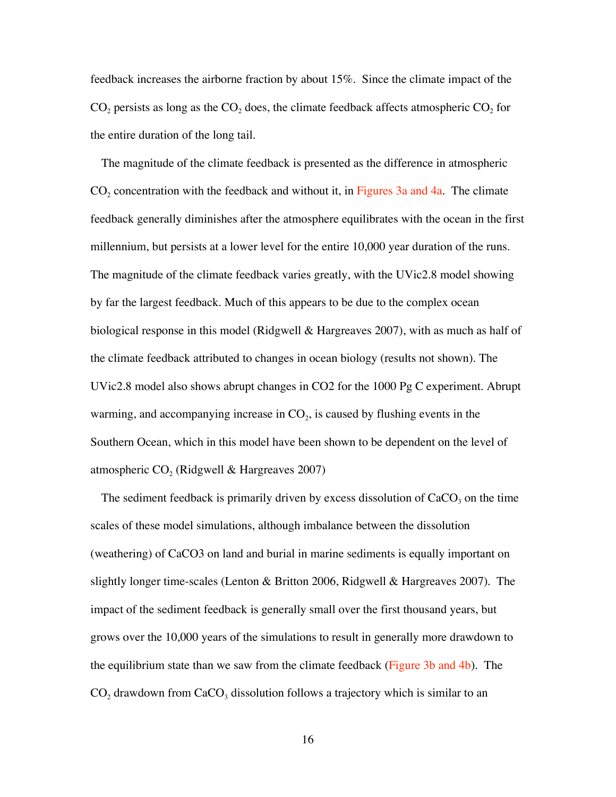feedback increases the airborne fraction by about 15%. Since the climate impact of the  $CO<sub>2</sub>$  persists as long as the  $CO<sub>2</sub>$  does, the climate feedback affects atmospheric  $CO<sub>2</sub>$  for the entire duration of the long tail.

The magnitude of the climate feedback is presented as the difference in atmospheric  $CO<sub>2</sub>$  concentration with the feedback and without it, in Figures 3a and 4a. The climate feedback generally diminishes after the atmosphere equilibrates with the ocean in the first millennium, but persists at a lower level for the entire 10,000 year duration of the runs. The magnitude of the climate feedback varies greatly, with the UVic2.8 model showing by far the largest feedback. Much of this appears to be due to the complex ocean biological response in this model (Ridgwell & Hargreaves 2007), with as much as half of the climate feedback attributed to changes in ocean biology (results not shown). The UVic2.8 model also shows abrupt changes in CO2 for the 1000 Pg C experiment. Abrupt warming, and accompanying increase in  $CO<sub>2</sub>$ , is caused by flushing events in the Southern Ocean, which in this model have been shown to be dependent on the level of atmospheric  $CO<sub>2</sub>$  (Ridgwell & Hargreaves 2007)

The sediment feedback is primarily driven by excess dissolution of  $CaCO<sub>3</sub>$  on the time scales of these model simulations, although imbalance between the dissolution (weathering) of CaCO3 on land and burial in marine sediments is equally important on slightly longer time-scales (Lenton & Britton 2006, Ridgwell & Hargreaves 2007). The impact of the sediment feedback is generally small over the first thousand years, but grows over the 10,000 years of the simulations to result in generally more drawdown to the equilibrium state than we saw from the climate feedback (Figure 3b and 4b). The  $CO<sub>2</sub>$  drawdown from  $CaCO<sub>3</sub>$  dissolution follows a trajectory which is similar to an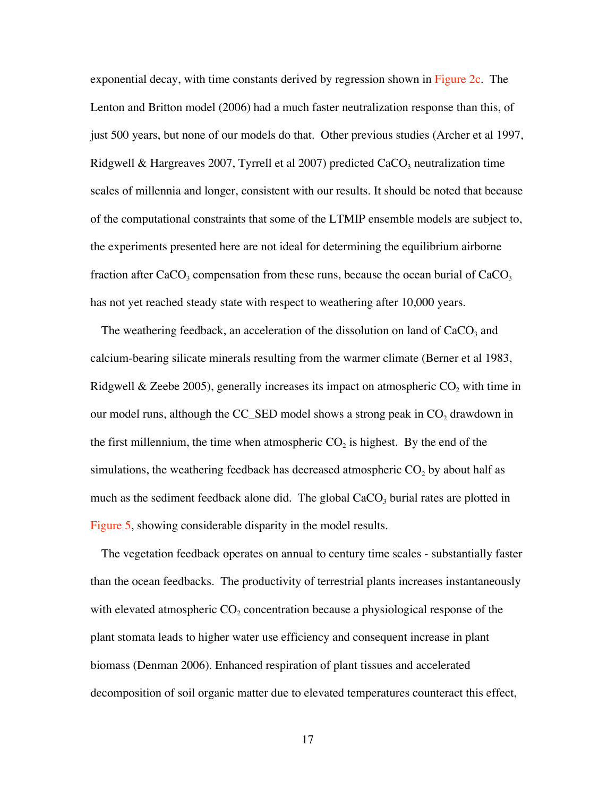exponential decay, with time constants derived by regression shown in Figure 2c. The Lenton and Britton model (2006) had a much faster neutralization response than this, of just 500 years, but none of our models do that. Other previous studies (Archer et al 1997, Ridgwell & Hargreaves 2007, Tyrrell et al 2007) predicted  $CaCO<sub>3</sub>$  neutralization time scales of millennia and longer, consistent with our results. It should be noted that because of the computational constraints that some of the LTMIP ensemble models are subject to, the experiments presented here are not ideal for determining the equilibrium airborne fraction after  $CaCO<sub>3</sub>$  compensation from these runs, because the ocean burial of  $CaCO<sub>3</sub>$ has not yet reached steady state with respect to weathering after 10,000 years.

The weathering feedback, an acceleration of the dissolution on land of  $CaCO<sub>3</sub>$  and calcium-bearing silicate minerals resulting from the warmer climate (Berner et al 1983, Ridgwell & Zeebe 2005), generally increases its impact on atmospheric  $CO<sub>2</sub>$  with time in our model runs, although the CC\_SED model shows a strong peak in  $CO<sub>2</sub>$  drawdown in the first millennium, the time when atmospheric  $CO_2$  is highest. By the end of the simulations, the weathering feedback has decreased atmospheric  $CO<sub>2</sub>$  by about half as much as the sediment feedback alone did. The global  $CaCO<sub>3</sub>$  burial rates are plotted in Figure 5, showing considerable disparity in the model results.

The vegetation feedback operates on annual to century time scales - substantially faster than the ocean feedbacks. The productivity of terrestrial plants increases instantaneously with elevated atmospheric  $CO<sub>2</sub>$  concentration because a physiological response of the plant stomata leads to higher water use efficiency and consequent increase in plant biomass (Denman 2006). Enhanced respiration of plant tissues and accelerated decomposition of soil organic matter due to elevated temperatures counteract this effect,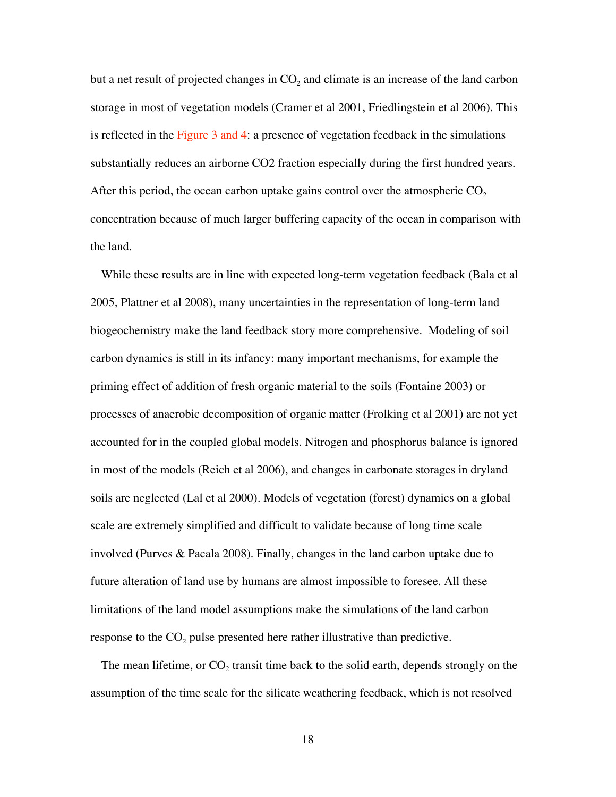but a net result of projected changes in  $CO<sub>2</sub>$  and climate is an increase of the land carbon storage in most of vegetation models (Cramer et al 2001, Friedlingstein et al 2006). This is reflected in the Figure 3 and 4: a presence of vegetation feedback in the simulations substantially reduces an airborne CO2 fraction especially during the first hundred years. After this period, the ocean carbon uptake gains control over the atmospheric  $CO<sub>2</sub>$ concentration because of much larger buffering capacity of the ocean in comparison with the land.

While these results are in line with expected long-term vegetation feedback (Bala et al 2005, Plattner et al 2008), many uncertainties in the representation of long-term land biogeochemistry make the land feedback story more comprehensive. Modeling of soil carbon dynamics is still in its infancy: many important mechanisms, for example the priming effect of addition of fresh organic material to the soils (Fontaine 2003) or processes of anaerobic decomposition of organic matter (Frolking et al 2001) are not yet accounted for in the coupled global models. Nitrogen and phosphorus balance is ignored in most of the models (Reich et al 2006), and changes in carbonate storages in dryland soils are neglected (Lal et al 2000). Models of vegetation (forest) dynamics on a global scale are extremely simplified and difficult to validate because of long time scale involved (Purves & Pacala 2008). Finally, changes in the land carbon uptake due to future alteration of land use by humans are almost impossible to foresee. All these limitations of the land model assumptions make the simulations of the land carbon response to the  $CO<sub>2</sub>$  pulse presented here rather illustrative than predictive.

The mean lifetime, or  $CO<sub>2</sub>$  transit time back to the solid earth, depends strongly on the assumption of the time scale for the silicate weathering feedback, which is not resolved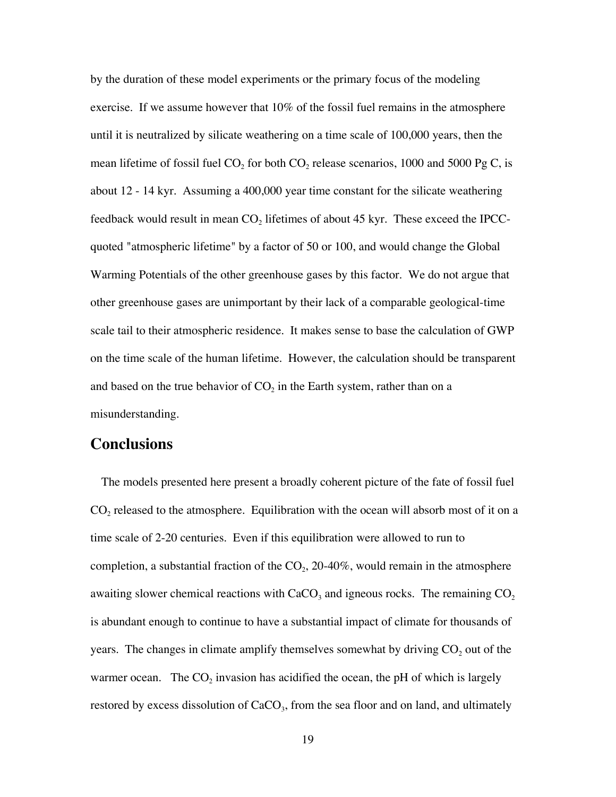by the duration of these model experiments or the primary focus of the modeling exercise. If we assume however that 10% of the fossil fuel remains in the atmosphere until it is neutralized by silicate weathering on a time scale of 100,000 years, then the mean lifetime of fossil fuel  $CO_2$  for both  $CO_2$  release scenarios, 1000 and 5000 Pg C, is about 12 - 14 kyr. Assuming a 400,000 year time constant for the silicate weathering feedback would result in mean  $CO<sub>2</sub>$  lifetimes of about 45 kyr. These exceed the IPCCquoted "atmospheric lifetime" by a factor of 50 or 100, and would change the Global Warming Potentials of the other greenhouse gases by this factor. We do not argue that other greenhouse gases are unimportant by their lack of a comparable geological-time scale tail to their atmospheric residence. It makes sense to base the calculation of GWP on the time scale of the human lifetime. However, the calculation should be transparent and based on the true behavior of  $CO<sub>2</sub>$  in the Earth system, rather than on a misunderstanding.

## **Conclusions**

The models presented here present a broadly coherent picture of the fate of fossil fuel  $CO<sub>2</sub>$  released to the atmosphere. Equilibration with the ocean will absorb most of it on a time scale of 2-20 centuries. Even if this equilibration were allowed to run to completion, a substantial fraction of the  $CO<sub>2</sub>$ , 20-40%, would remain in the atmosphere awaiting slower chemical reactions with  $CaCO<sub>3</sub>$  and igneous rocks. The remaining  $CO<sub>2</sub>$ is abundant enough to continue to have a substantial impact of climate for thousands of years. The changes in climate amplify themselves somewhat by driving  $CO<sub>2</sub>$  out of the warmer ocean. The  $CO<sub>2</sub>$  invasion has acidified the ocean, the pH of which is largely restored by excess dissolution of  $CaCO<sub>3</sub>$ , from the sea floor and on land, and ultimately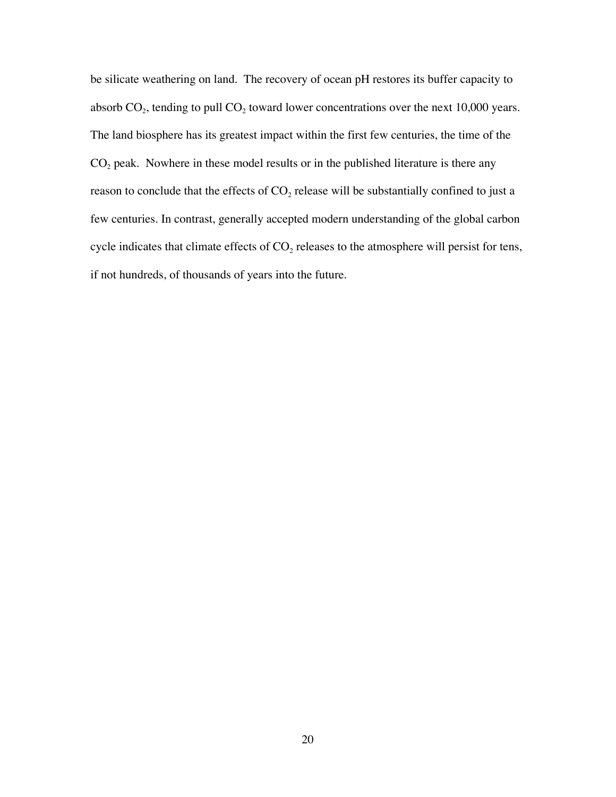be silicate weathering on land. The recovery of ocean pH restores its buffer capacity to absorb  $CO<sub>2</sub>$ , tending to pull  $CO<sub>2</sub>$  toward lower concentrations over the next 10,000 years. The land biosphere has its greatest impact within the first few centuries, the time of the  $CO<sub>2</sub>$  peak. Nowhere in these model results or in the published literature is there any reason to conclude that the effects of  $CO<sub>2</sub>$  release will be substantially confined to just a few centuries. In contrast, generally accepted modern understanding of the global carbon cycle indicates that climate effects of  $CO<sub>2</sub>$  releases to the atmosphere will persist for tens, if not hundreds, of thousands of years into the future.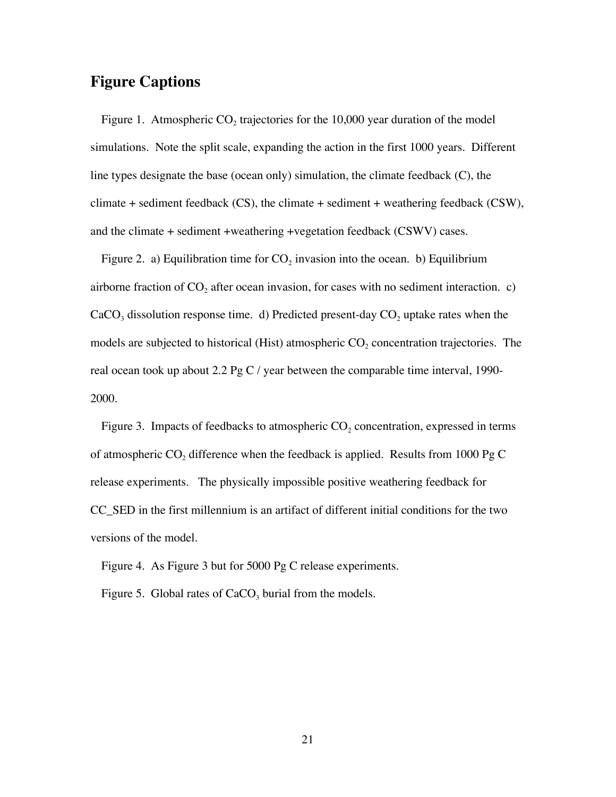## **Figure Captions**

Figure 1. Atmospheric  $CO<sub>2</sub>$  trajectories for the 10,000 year duration of the model simulations. Note the split scale, expanding the action in the first 1000 years. Different line types designate the base (ocean only) simulation, the climate feedback (C), the climate + sediment feedback (CS), the climate + sediment + weathering feedback (CSW), and the climate + sediment +weathering +vegetation feedback (CSWV) cases.

Figure 2. a) Equilibration time for  $CO<sub>2</sub>$  invasion into the ocean. b) Equilibrium airborne fraction of  $CO<sub>2</sub>$  after ocean invasion, for cases with no sediment interaction. c)  $CaCO<sub>3</sub>$  dissolution response time. d) Predicted present-day  $CO<sub>2</sub>$  uptake rates when the models are subjected to historical (Hist) atmospheric  $CO<sub>2</sub>$  concentration trajectories. The real ocean took up about 2.2 Pg C / year between the comparable time interval, 1990-2000.

Figure 3. Impacts of feedbacks to atmospheric  $CO<sub>2</sub>$  concentration, expressed in terms of atmospheric  $CO_2$  difference when the feedback is applied. Results from 1000 Pg C release experiments. The physically impossible positive weathering feedback for CC\_SED in the first millennium is an artifact of different initial conditions for the two versions of the model.

Figure 4. As Figure 3 but for 5000 Pg C release experiments.

Figure 5. Global rates of  $CaCO<sub>3</sub>$  burial from the models.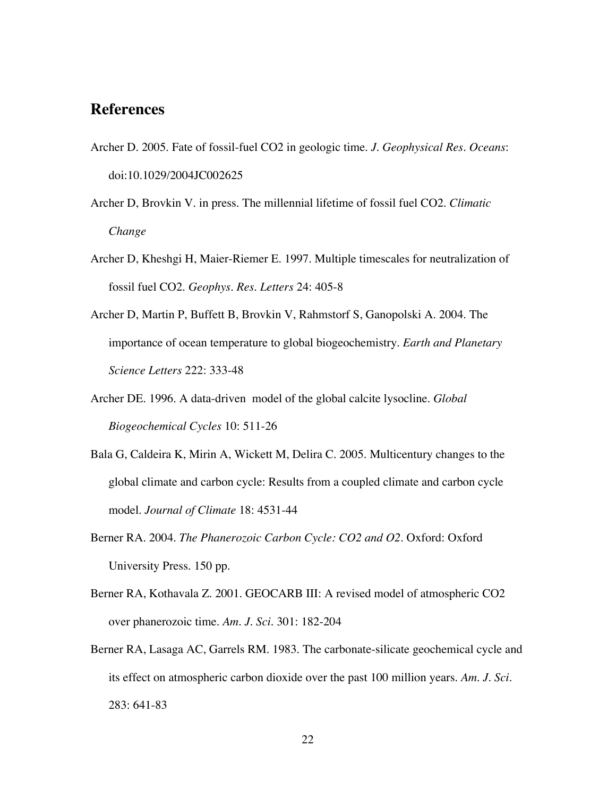## **References**

- Archer D. 2005. Fate of fossil-fuel CO2 in geologic time. *J. Geophysical Res. Oceans*: doi:10.1029/2004JC002625
- Archer D, Brovkin V. in press. The millennial lifetime of fossil fuel CO2. *Climatic Change*
- Archer D, Kheshgi H, Maier-Riemer E. 1997. Multiple timescales for neutralization of fossil fuel CO2. *Geophys. Res. Letters* 24: 405-8
- Archer D, Martin P, Buffett B, Brovkin V, Rahmstorf S, Ganopolski A. 2004. The importance of ocean temperature to global biogeochemistry. *Earth and Planetary Science Letters* 222: 333-48
- Archer DE. 1996. A data-driven model of the global calcite lysocline. *Global Biogeochemical Cycles* 10: 511-26
- Bala G, Caldeira K, Mirin A, Wickett M, Delira C. 2005. Multicentury changes to the global climate and carbon cycle: Results from a coupled climate and carbon cycle model. *Journal of Climate* 18: 4531-44
- Berner RA. 2004. *The Phanerozoic Carbon Cycle: CO2 and O2*. Oxford: Oxford University Press. 150 pp.
- Berner RA, Kothavala Z. 2001. GEOCARB III: A revised model of atmospheric CO2 over phanerozoic time. *Am. J. Sci.* 301: 182-204
- Berner RA, Lasaga AC, Garrels RM. 1983. The carbonate-silicate geochemical cycle and its effect on atmospheric carbon dioxide over the past 100 million years. *Am. J. Sci.* 283: 641-83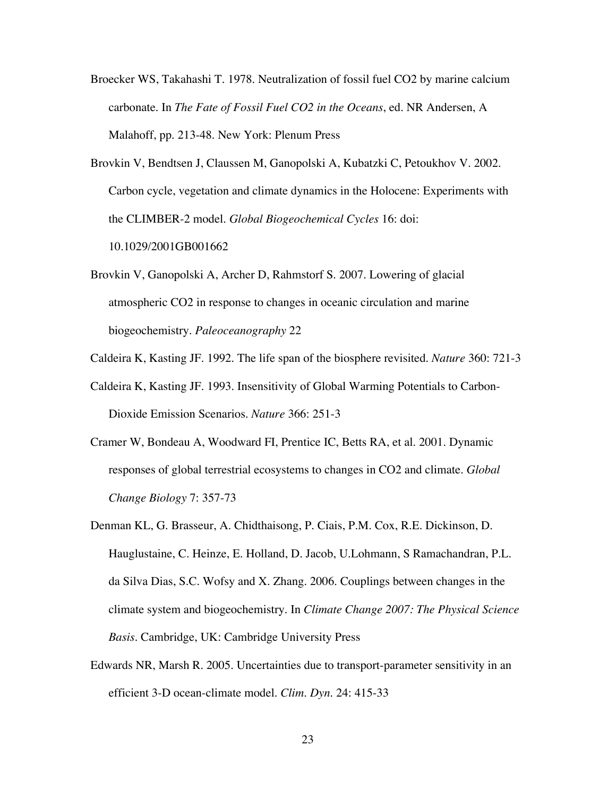- Broecker WS, Takahashi T. 1978. Neutralization of fossil fuel CO2 by marine calcium carbonate. In *The Fate of Fossil Fuel CO2 in the Oceans*, ed. NR Andersen, A Malahoff, pp. 213-48. New York: Plenum Press
- Brovkin V, Bendtsen J, Claussen M, Ganopolski A, Kubatzki C, Petoukhov V. 2002. Carbon cycle, vegetation and climate dynamics in the Holocene: Experiments with the CLIMBER-2 model. *Global Biogeochemical Cycles* 16: doi: 10.1029/2001GB001662
- Brovkin V, Ganopolski A, Archer D, Rahmstorf S. 2007. Lowering of glacial atmospheric CO2 in response to changes in oceanic circulation and marine biogeochemistry. *Paleoceanography* 22
- Caldeira K, Kasting JF. 1992. The life span of the biosphere revisited. *Nature* 360: 721-3
- Caldeira K, Kasting JF. 1993. Insensitivity of Global Warming Potentials to Carbon-Dioxide Emission Scenarios. *Nature* 366: 251-3
- Cramer W, Bondeau A, Woodward FI, Prentice IC, Betts RA, et al. 2001. Dynamic responses of global terrestrial ecosystems to changes in CO2 and climate. *Global Change Biology* 7: 357-73
- Denman KL, G. Brasseur, A. Chidthaisong, P. Ciais, P.M. Cox, R.E. Dickinson, D. Hauglustaine, C. Heinze, E. Holland, D. Jacob, U.Lohmann, S Ramachandran, P.L. da Silva Dias, S.C. Wofsy and X. Zhang. 2006. Couplings between changes in the climate system and biogeochemistry. In *Climate Change 2007: The Physical Science Basis*. Cambridge, UK: Cambridge University Press
- Edwards NR, Marsh R. 2005. Uncertainties due to transport-parameter sensitivity in an efficient 3-D ocean-climate model. *Clim. Dyn.* 24: 415-33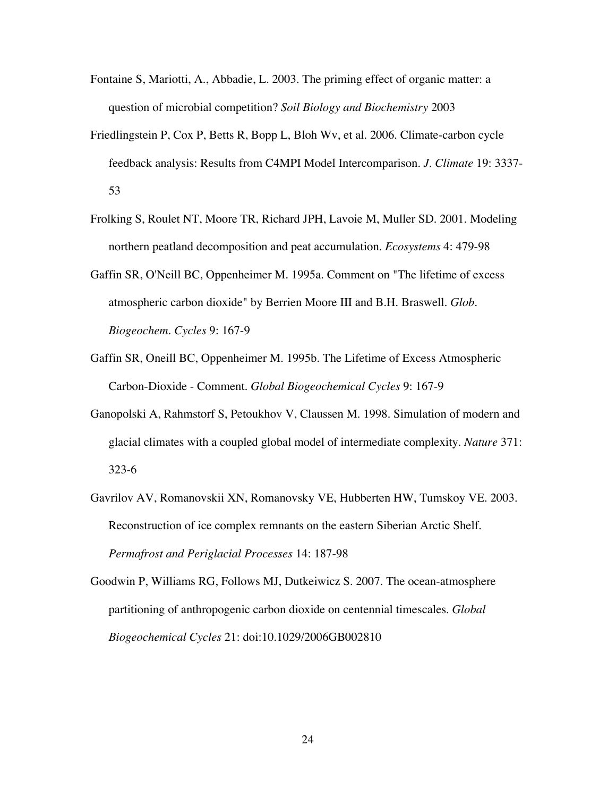- Fontaine S, Mariotti, A., Abbadie, L. 2003. The priming effect of organic matter: a question of microbial competition? *Soil Biology and Biochemistry* 2003
- Friedlingstein P, Cox P, Betts R, Bopp L, Bloh Wv, et al. 2006. Climate-carbon cycle feedback analysis: Results from C4MPI Model Intercomparison. *J. Climate* 19: 3337- 53
- Frolking S, Roulet NT, Moore TR, Richard JPH, Lavoie M, Muller SD. 2001. Modeling northern peatland decomposition and peat accumulation. *Ecosystems* 4: 479-98
- Gaffin SR, O'Neill BC, Oppenheimer M. 1995a. Comment on "The lifetime of excess atmospheric carbon dioxide" by Berrien Moore III and B.H. Braswell. *Glob. Biogeochem. Cycles* 9: 167-9
- Gaffin SR, Oneill BC, Oppenheimer M. 1995b. The Lifetime of Excess Atmospheric Carbon-Dioxide - Comment. *Global Biogeochemical Cycles* 9: 167-9
- Ganopolski A, Rahmstorf S, Petoukhov V, Claussen M. 1998. Simulation of modern and glacial climates with a coupled global model of intermediate complexity. *Nature* 371: 323-6
- Gavrilov AV, Romanovskii XN, Romanovsky VE, Hubberten HW, Tumskoy VE. 2003. Reconstruction of ice complex remnants on the eastern Siberian Arctic Shelf. *Permafrost and Periglacial Processes* 14: 187-98
- Goodwin P, Williams RG, Follows MJ, Dutkeiwicz S. 2007. The ocean-atmosphere partitioning of anthropogenic carbon dioxide on centennial timescales. *Global Biogeochemical Cycles* 21: doi:10.1029/2006GB002810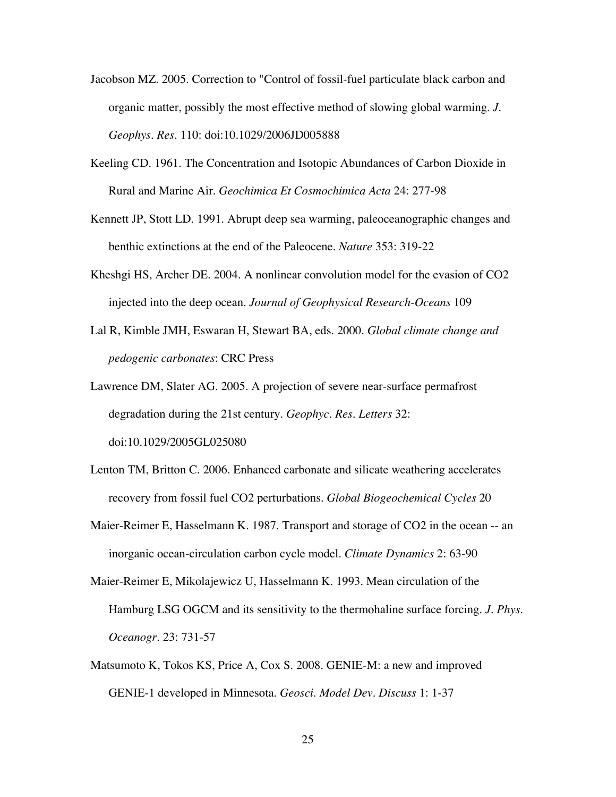- Jacobson MZ. 2005. Correction to "Control of fossil-fuel particulate black carbon and organic matter, possibly the most effective method of slowing global warming. *J. Geophys. Res.* 110: doi:10.1029/2006JD005888
- Keeling CD. 1961. The Concentration and Isotopic Abundances of Carbon Dioxide in Rural and Marine Air. *Geochimica Et Cosmochimica Acta* 24: 277-98
- Kennett JP, Stott LD. 1991. Abrupt deep sea warming, paleoceanographic changes and benthic extinctions at the end of the Paleocene. *Nature* 353: 319-22
- Kheshgi HS, Archer DE. 2004. A nonlinear convolution model for the evasion of CO2 injected into the deep ocean. *Journal of Geophysical Research-Oceans* 109
- Lal R, Kimble JMH, Eswaran H, Stewart BA, eds. 2000. *Global climate change and pedogenic carbonates*: CRC Press
- Lawrence DM, Slater AG. 2005. A projection of severe near-surface permafrost degradation during the 21st century. *Geophyc. Res. Letters* 32: doi:10.1029/2005GL025080
- Lenton TM, Britton C. 2006. Enhanced carbonate and silicate weathering accelerates recovery from fossil fuel CO2 perturbations. *Global Biogeochemical Cycles* 20
- Maier-Reimer E, Hasselmann K. 1987. Transport and storage of CO2 in the ocean -- an inorganic ocean-circulation carbon cycle model. *Climate Dynamics* 2: 63-90
- Maier-Reimer E, Mikolajewicz U, Hasselmann K. 1993. Mean circulation of the Hamburg LSG OGCM and its sensitivity to the thermohaline surface forcing. *J. Phys. Oceanogr.* 23: 731-57
- Matsumoto K, Tokos KS, Price A, Cox S. 2008. GENIE-M: a new and improved GENIE-1 developed in Minnesota. *Geosci. Model Dev. Discuss* 1: 1-37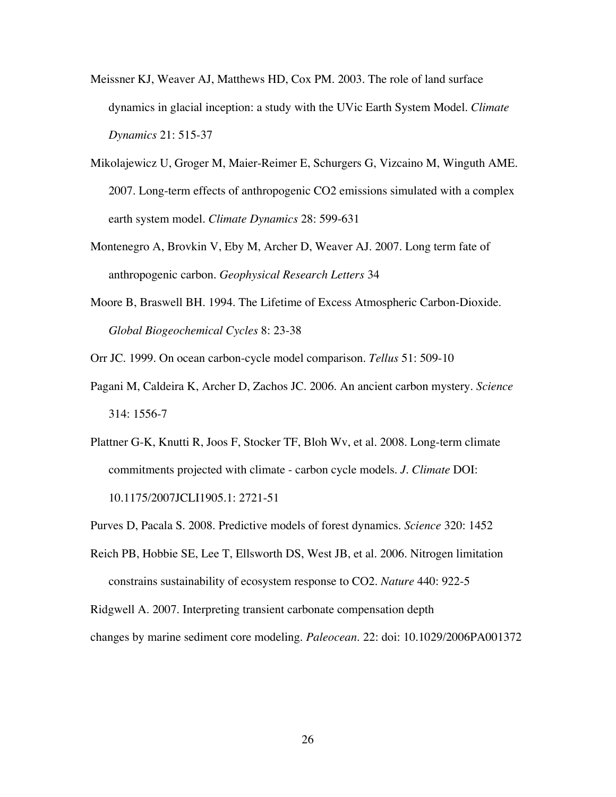- Meissner KJ, Weaver AJ, Matthews HD, Cox PM. 2003. The role of land surface dynamics in glacial inception: a study with the UVic Earth System Model. *Climate Dynamics* 21: 515-37
- Mikolajewicz U, Groger M, Maier-Reimer E, Schurgers G, Vizcaino M, Winguth AME. 2007. Long-term effects of anthropogenic CO2 emissions simulated with a complex earth system model. *Climate Dynamics* 28: 599-631
- Montenegro A, Brovkin V, Eby M, Archer D, Weaver AJ. 2007. Long term fate of anthropogenic carbon. *Geophysical Research Letters* 34
- Moore B, Braswell BH. 1994. The Lifetime of Excess Atmospheric Carbon-Dioxide. *Global Biogeochemical Cycles* 8: 23-38

Orr JC. 1999. On ocean carbon-cycle model comparison. *Tellus* 51: 509-10

- Pagani M, Caldeira K, Archer D, Zachos JC. 2006. An ancient carbon mystery. *Science* 314: 1556-7
- Plattner G-K, Knutti R, Joos F, Stocker TF, Bloh Wv, et al. 2008. Long-term climate commitments projected with climate - carbon cycle models. *J. Climate* DOI: 10.1175/2007JCLI1905.1: 2721-51

Purves D, Pacala S. 2008. Predictive models of forest dynamics. *Science* 320: 1452

Reich PB, Hobbie SE, Lee T, Ellsworth DS, West JB, et al. 2006. Nitrogen limitation constrains sustainability of ecosystem response to CO2. *Nature* 440: 922-5

Ridgwell A. 2007. Interpreting transient carbonate compensation depth

changes by marine sediment core modeling. *Paleocean.* 22: doi: 10.1029/2006PA001372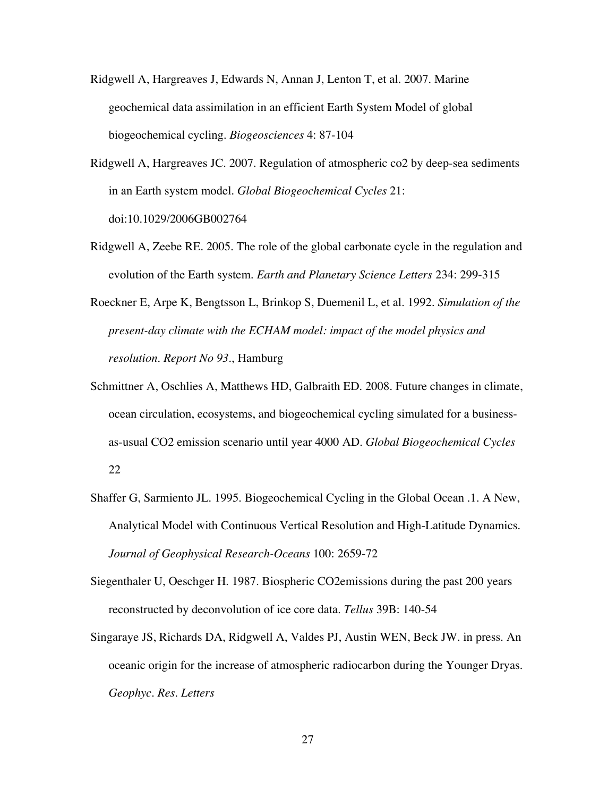- Ridgwell A, Hargreaves J, Edwards N, Annan J, Lenton T, et al. 2007. Marine geochemical data assimilation in an efficient Earth System Model of global biogeochemical cycling. *Biogeosciences* 4: 87-104
- Ridgwell A, Hargreaves JC. 2007. Regulation of atmospheric co2 by deep-sea sediments in an Earth system model. *Global Biogeochemical Cycles* 21: doi:10.1029/2006GB002764
- Ridgwell A, Zeebe RE. 2005. The role of the global carbonate cycle in the regulation and evolution of the Earth system. *Earth and Planetary Science Letters* 234: 299-315
- Roeckner E, Arpe K, Bengtsson L, Brinkop S, Duemenil L, et al. 1992. *Simulation of the present-day climate with the ECHAM model: impact of the model physics and resolution. Report No 93.*, Hamburg
- Schmittner A, Oschlies A, Matthews HD, Galbraith ED. 2008. Future changes in climate, ocean circulation, ecosystems, and biogeochemical cycling simulated for a businessas-usual CO2 emission scenario until year 4000 AD. *Global Biogeochemical Cycles* 22
- Shaffer G, Sarmiento JL. 1995. Biogeochemical Cycling in the Global Ocean .1. A New, Analytical Model with Continuous Vertical Resolution and High-Latitude Dynamics. *Journal of Geophysical Research-Oceans* 100: 2659-72
- Siegenthaler U, Oeschger H. 1987. Biospheric CO2emissions during the past 200 years reconstructed by deconvolution of ice core data. *Tellus* 39B: 140-54
- Singaraye JS, Richards DA, Ridgwell A, Valdes PJ, Austin WEN, Beck JW. in press. An oceanic origin for the increase of atmospheric radiocarbon during the Younger Dryas. *Geophyc. Res. Letters*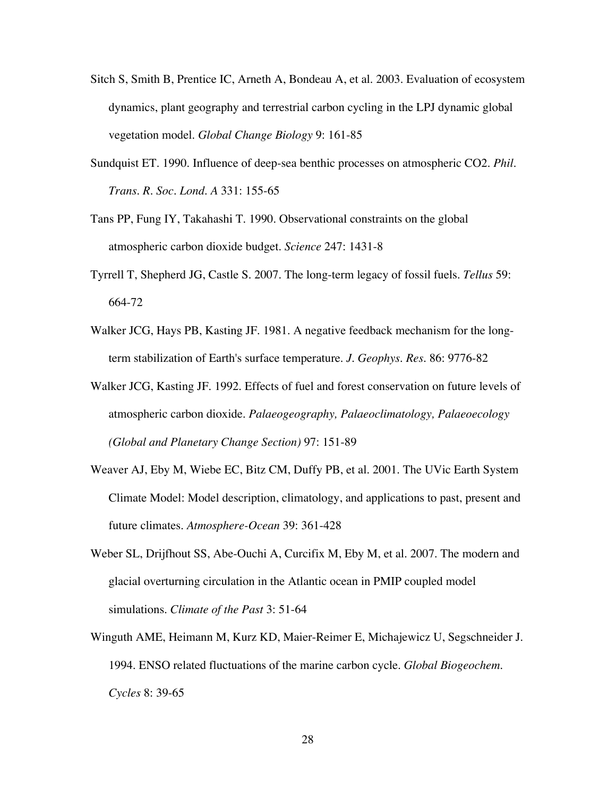- Sitch S, Smith B, Prentice IC, Arneth A, Bondeau A, et al. 2003. Evaluation of ecosystem dynamics, plant geography and terrestrial carbon cycling in the LPJ dynamic global vegetation model. *Global Change Biology* 9: 161-85
- Sundquist ET. 1990. Influence of deep-sea benthic processes on atmospheric CO2. *Phil. Trans. R. Soc. Lond. A* 331: 155-65
- Tans PP, Fung IY, Takahashi T. 1990. Observational constraints on the global atmospheric carbon dioxide budget. *Science* 247: 1431-8
- Tyrrell T, Shepherd JG, Castle S. 2007. The long-term legacy of fossil fuels. *Tellus* 59: 664-72
- Walker JCG, Hays PB, Kasting JF. 1981. A negative feedback mechanism for the longterm stabilization of Earth's surface temperature. *J. Geophys. Res.* 86: 9776-82
- Walker JCG, Kasting JF. 1992. Effects of fuel and forest conservation on future levels of atmospheric carbon dioxide. *Palaeogeography, Palaeoclimatology, Palaeoecology (Global and Planetary Change Section)* 97: 151-89
- Weaver AJ, Eby M, Wiebe EC, Bitz CM, Duffy PB, et al. 2001. The UVic Earth System Climate Model: Model description, climatology, and applications to past, present and future climates. *Atmosphere-Ocean* 39: 361-428
- Weber SL, Drijfhout SS, Abe-Ouchi A, Curcifix M, Eby M, et al. 2007. The modern and glacial overturning circulation in the Atlantic ocean in PMIP coupled model simulations. *Climate of the Past* 3: 51-64
- Winguth AME, Heimann M, Kurz KD, Maier-Reimer E, Michajewicz U, Segschneider J. 1994. ENSO related fluctuations of the marine carbon cycle. *Global Biogeochem. Cycles* 8: 39-65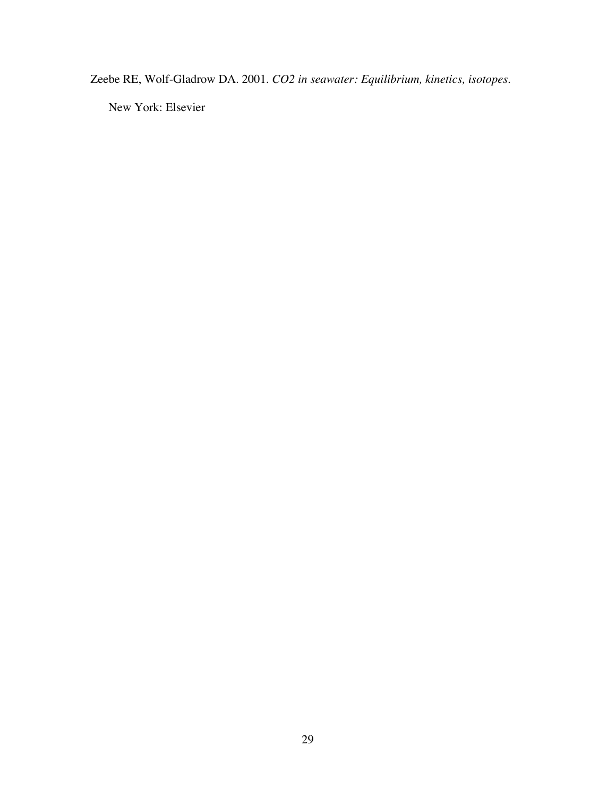Zeebe RE, Wolf-Gladrow DA. 2001. *CO2 in seawater: Equilibrium, kinetics, isotopes*.

New York: Elsevier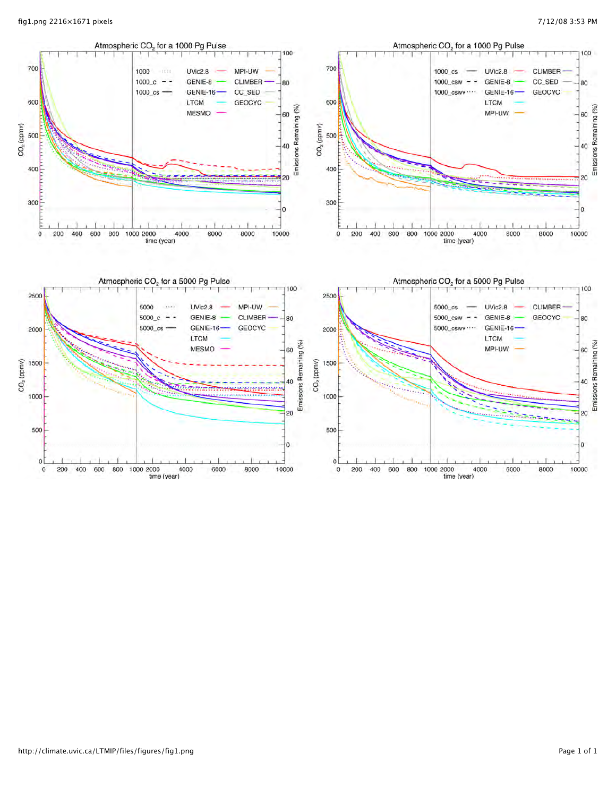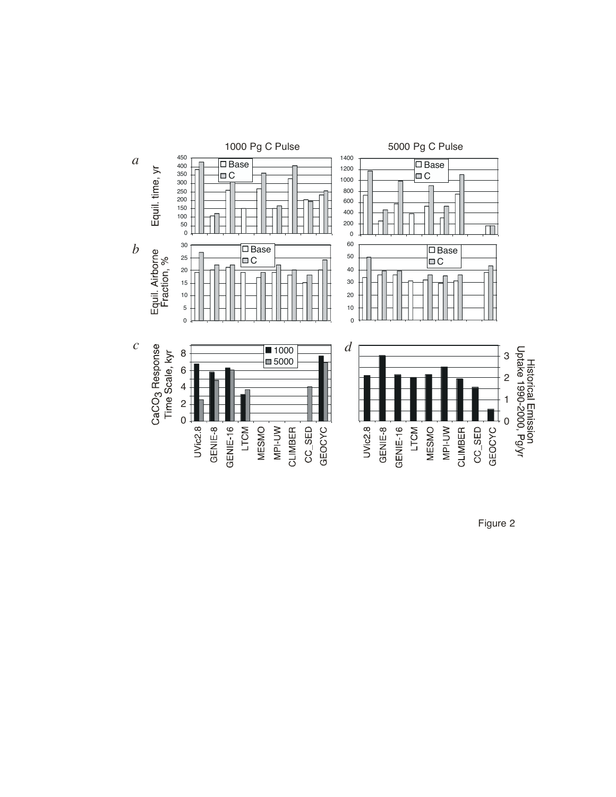

Figure 2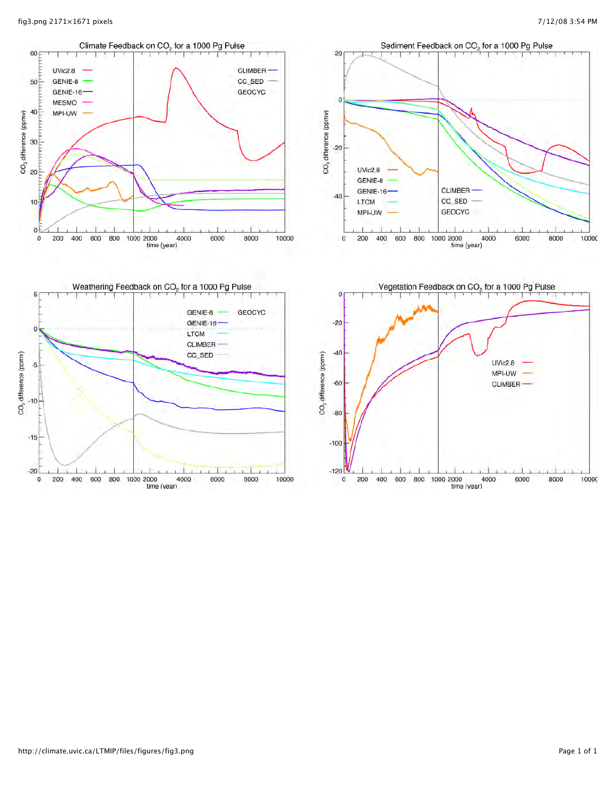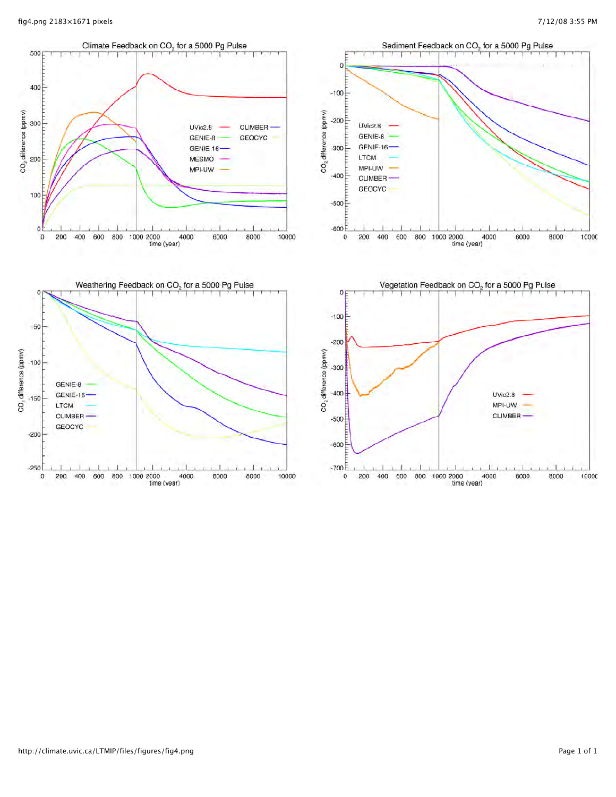